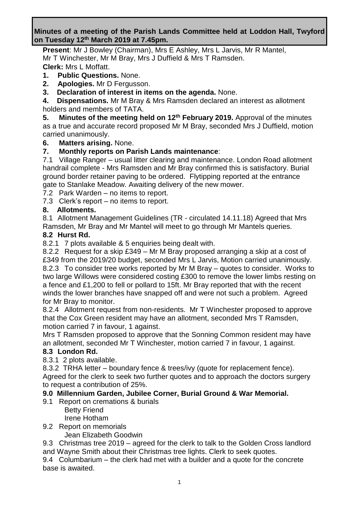### **Minutes of a meeting of the Parish Lands Committee held at Loddon Hall, Twyford on Tuesday 12th March 2019 at 7.45pm.**

**Present**: Mr J Bowley (Chairman), Mrs E Ashley, Mrs L Jarvis, Mr R Mantel, Mr T Winchester, Mr M Bray, Mrs J Duffield & Mrs T Ramsden.

**Clerk:** Mrs L Moffatt.

- **1. Public Questions.** None.
- **2. Apologies.** Mr D Fergusson.
- **3. Declaration of interest in items on the agenda.** None.

**4. Dispensations.** Mr M Bray & Mrs Ramsden declared an interest as allotment holders and members of TATA.

**5. Minutes of the meeting held on 12th February 2019.** Approval of the minutes as a true and accurate record proposed Mr M Bray, seconded Mrs J Duffield, motion carried unanimously.

## **6. Matters arising.** None.

## **7. Monthly reports on Parish Lands maintenance**:

7.1 Village Ranger – usual litter clearing and maintenance. London Road allotment handrail complete - Mrs Ramsden and Mr Bray confirmed this is satisfactory. Burial ground border retainer paving to be ordered. Flytipping reported at the entrance gate to Stanlake Meadow. Awaiting delivery of the new mower.

7.2 Park Warden – no items to report.

7.3 Clerk's report – no items to report.

### **8. Allotments.**

8.1 Allotment Management Guidelines (TR - circulated 14.11.18) Agreed that Mrs Ramsden, Mr Bray and Mr Mantel will meet to go through Mr Mantels queries.

### **8.2 Hurst Rd.**

8.2.1 7 plots available & 5 enquiries being dealt with.

8.2.2 Request for a skip £349 – Mr M Bray proposed arranging a skip at a cost of

£349 from the 2019/20 budget, seconded Mrs L Jarvis, Motion carried unanimously. 8.2.3 To consider tree works reported by Mr M Bray – quotes to consider. Works to two large Willows were considered costing £300 to remove the lower limbs resting on a fence and £1,200 to fell or pollard to 15ft. Mr Bray reported that with the recent winds the lower branches have snapped off and were not such a problem. Agreed for Mr Bray to monitor.

8.2.4 Allotment request from non-residents. Mr T Winchester proposed to approve that the Cox Green resident may have an allotment, seconded Mrs T Ramsden, motion carried 7 in favour, 1 against.

Mrs T Ramsden proposed to approve that the Sonning Common resident may have an allotment, seconded Mr T Winchester, motion carried 7 in favour, 1 against.

### **8.3 London Rd.**

8.3.1 2 plots available.

8.3.2 TRHA letter – boundary fence & trees/ivy (quote for replacement fence). Agreed for the clerk to seek two further quotes and to approach the doctors surgery to request a contribution of 25%.

## **9.0 Millennium Garden, Jubilee Corner, Burial Ground & War Memorial.**

- 9.1 Report on cremations & burials
	- Betty Friend Irene Hotham
- 9.2 Report on memorials

Jean Elizabeth Goodwin

9.3 Christmas tree 2019 – agreed for the clerk to talk to the Golden Cross landlord

and Wayne Smith about their Christmas tree lights. Clerk to seek quotes.

9.4 Columbarium – the clerk had met with a builder and a quote for the concrete base is awaited.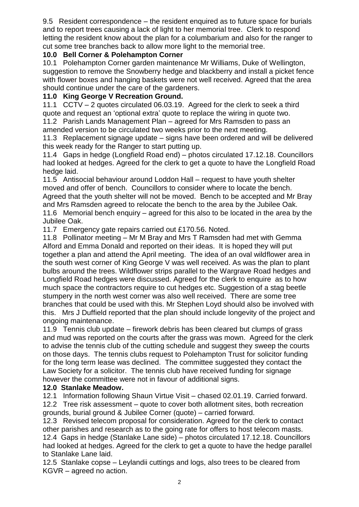9.5 Resident correspondence – the resident enquired as to future space for burials and to report trees causing a lack of light to her memorial tree. Clerk to respond letting the resident know about the plan for a columbarium and also for the ranger to cut some tree branches back to allow more light to the memorial tree.

### **10.0 Bell Corner & Polehampton Corner**

10.1 Polehampton Corner garden maintenance Mr Williams, Duke of Wellington, suggestion to remove the Snowberry hedge and blackberry and install a picket fence with flower boxes and hanging baskets were not well received. Agreed that the area should continue under the care of the gardeners.

### **11.0 King George V Recreation Ground.**

11.1 CCTV – 2 quotes circulated 06.03.19. Agreed for the clerk to seek a third quote and request an 'optional extra' quote to replace the wiring in quote two.

11.2 Parish Lands Management Plan – agreed for Mrs Ramsden to pass an amended version to be circulated two weeks prior to the next meeting.

11.3 Replacement signage update – signs have been ordered and will be delivered this week ready for the Ranger to start putting up.

11.4 Gaps in hedge (Longfield Road end) – photos circulated 17.12.18. Councillors had looked at hedges. Agreed for the clerk to get a quote to have the Longfield Road hedge laid.

11.5 Antisocial behaviour around Loddon Hall – request to have youth shelter moved and offer of bench. Councillors to consider where to locate the bench. Agreed that the youth shelter will not be moved. Bench to be accepted and Mr Bray and Mrs Ramsden agreed to relocate the bench to the area by the Jubilee Oak. 11.6 Memorial bench enquiry – agreed for this also to be located in the area by the Jubilee Oak.

11.7 Emergency gate repairs carried out £170.56. Noted.

11.8 Pollinator meeting – Mr M Bray and Mrs T Ramsden had met with Gemma Alford and Emma Donald and reported on their ideas. It is hoped they will put together a plan and attend the April meeting. The idea of an oval wildflower area in the south west corner of King George V was well received. As was the plan to plant bulbs around the trees. Wildflower strips parallel to the Wargrave Road hedges and Longfield Road hedges were discussed. Agreed for the clerk to enquire as to how much space the contractors require to cut hedges etc. Suggestion of a stag beetle stumpery in the north west corner was also well received. There are some tree branches that could be used with this. Mr Stephen Loyd should also be involved with this. Mrs J Duffield reported that the plan should include longevity of the project and ongoing maintenance.

11.9 Tennis club update – firework debris has been cleared but clumps of grass and mud was reported on the courts after the grass was mown. Agreed for the clerk to advise the tennis club of the cutting schedule and suggest they sweep the courts on those days. The tennis clubs request to Polehampton Trust for solicitor funding for the long term lease was declined. The committee suggested they contact the Law Society for a solicitor. The tennis club have received funding for signage however the committee were not in favour of additional signs.

### **12.0 Stanlake Meadow.**

12.1 Information following Shaun Virtue Visit – chased 02.01.19. Carried forward. 12.2 Tree risk assessment – quote to cover both allotment sites, both recreation grounds, burial ground & Jubilee Corner (quote) – carried forward.

12.3 Revised telecom proposal for consideration. Agreed for the clerk to contact other parishes and research as to the going rate for offers to host telecom masts. 12.4 Gaps in hedge (Stanlake Lane side) – photos circulated 17.12.18. Councillors had looked at hedges. Agreed for the clerk to get a quote to have the hedge parallel to Stanlake Lane laid.

12.5 Stanlake copse – Leylandii cuttings and logs, also trees to be cleared from KGVR – agreed no action.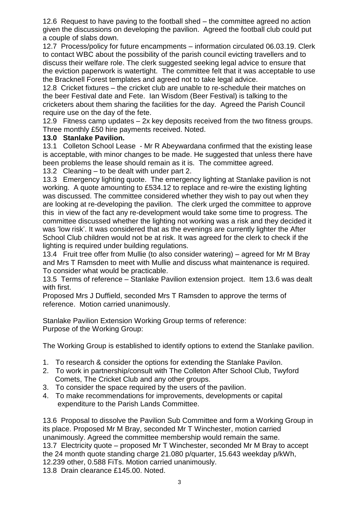12.6 Request to have paving to the football shed – the committee agreed no action given the discussions on developing the pavilion. Agreed the football club could put a couple of slabs down.

12.7 Process/policy for future encampments – information circulated 06.03.19. Clerk to contact WBC about the possibility of the parish council evicting travellers and to discuss their welfare role. The clerk suggested seeking legal advice to ensure that the eviction paperwork is watertight. The committee felt that it was acceptable to use the Bracknell Forest templates and agreed not to take legal advice.

12.8 Cricket fixtures – the cricket club are unable to re-schedule their matches on the beer Festival date and Fete. Ian Wisdom (Beer Festival) is talking to the cricketers about them sharing the facilities for the day. Agreed the Parish Council require use on the day of the fete.

12.9 Fitness camp updates – 2x key deposits received from the two fitness groups. Three monthly £50 hire payments received. Noted.

#### **13.0 Stanlake Pavilion.**

13.1 Colleton School Lease - Mr R Abeywardana confirmed that the existing lease is acceptable, with minor changes to be made. He suggested that unless there have been problems the lease should remain as it is. The committee agreed.

13.2 Cleaning – to be dealt with under part 2.

13.3 Emergency lighting quote. The emergency lighting at Stanlake pavilion is not working. A quote amounting to £534.12 to replace and re-wire the existing lighting was discussed. The committee considered whether they wish to pay out when they are looking at re-developing the pavilion. The clerk urged the committee to approve this in view of the fact any re-development would take some time to progress. The committee discussed whether the lighting not working was a risk and they decided it was 'low risk'. It was considered that as the evenings are currently lighter the After School Club children would not be at risk. It was agreed for the clerk to check if the lighting is required under building regulations.

13.4 Fruit tree offer from Mullie (to also consider watering) – agreed for Mr M Bray and Mrs T Ramsden to meet with Mullie and discuss what maintenance is required. To consider what would be practicable.

13.5 Terms of reference – Stanlake Pavilion extension project. Item 13.6 was dealt with first.

Proposed Mrs J Duffield, seconded Mrs T Ramsden to approve the terms of reference. Motion carried unanimously.

Stanlake Pavilion Extension Working Group terms of reference: Purpose of the Working Group:

The Working Group is established to identify options to extend the Stanlake pavilion.

- 1. To research & consider the options for extending the Stanlake Pavilon.
- 2. To work in partnership/consult with The Colleton After School Club, Twyford Comets, The Cricket Club and any other groups.
- 3. To consider the space required by the users of the pavilion.
- 4. To make recommendations for improvements, developments or capital expenditure to the Parish Lands Committee.

13.6 Proposal to dissolve the Pavilion Sub Committee and form a Working Group in its place. Proposed Mr M Bray, seconded Mr T Winchester, motion carried unanimously. Agreed the committee membership would remain the same. 13.7 Electricity quote – proposed Mr T Winchester, seconded Mr M Bray to accept the 24 month quote standing charge 21.080 p/quarter, 15.643 weekday p/kWh, 12.239 other, 0.588 FiTs. Motion carried unanimously.

13.8 Drain clearance £145.00. Noted.